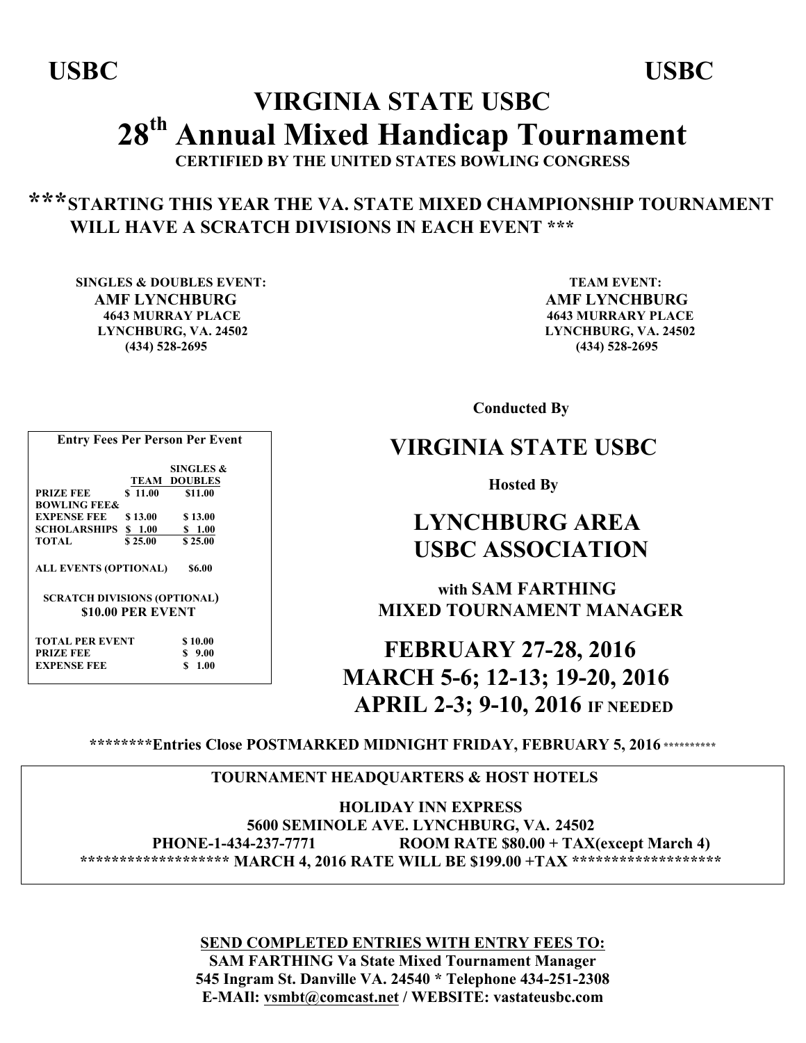# **VIRGINIA STATE USBC 28th Annual Mixed Handicap Tournament**

**CERTIFIED BY THE UNITED STATES BOWLING CONGRESS**

## **\*\*\*STARTING THIS YEAR THE VA. STATE MIXED CHAMPIONSHIP TOURNAMENT WILL HAVE A SCRATCH DIVISIONS IN EACH EVENT \*\*\***

**SINGLES & DOUBLES EVENT:** TEAM EVENT:  **AMF LYNCHBURG AMF LYNCHBURG 4643 MURRAY PLACE 4643 MURRARY PLACE LYNCHBURG, VA. 24502 LYNCHBURG, VA. 24502 (434) 528-2695 (434) 528-2695**

 **Conducted By**

## **VIRGINIA STATE USBC**

 **Hosted By**

## **LYNCHBURG AREA USBC ASSOCIATION**

 **with SAM FARTHING MIXED TOURNAMENT MANAGER**

 **FEBRUARY 27-28, 2016 MARCH 5-6; 12-13; 19-20, 2016 APRIL 2-3; 9-10, 2016 IF NEEDED**

**\*\*\*\*\*\*\*\*Entries Close POSTMARKED MIDNIGHT FRIDAY, FEBRUARY 5, 2016 \*\*\*\*\*\*\*\*\*\***

### **TOURNAMENT HEADQUARTERS & HOST HOTELS**

 **HOLIDAY INN EXPRESS 5600 SEMINOLE AVE. LYNCHBURG, VA. 24502 PHONE-1-434-237-7771 ROOM RATE \$80.00 + TAX(except March 4) \*\*\*\*\*\*\*\*\*\*\*\*\*\*\*\*\*\*\* MARCH 4, 2016 RATE WILL BE \$199.00 +TAX \*\*\*\*\*\*\*\*\*\*\*\*\*\*\*\*\*\*\*** 

> **SEND COMPLETED ENTRIES WITH ENTRY FEES TO: SAM FARTHING Va State Mixed Tournament Manager 545 Ingram St. Danville VA. 24540 \* Telephone 434-251-2308 E-MAIl: vsmbt@comcast.net / WEBSITE: vastateusbc.com**

 **SINGLES & TEAM DOUBLES PRIZE FEE** \$ 11.00 \$11.00 **BOWLING FEE& EXPENSE FEE** \$13.00 \$13.00<br>**SCHOLARSHIPS** \$1.00 \$1.00 **SCHOLARSHIPS \$ 1.00 TOTAL \$ 25.00 \$ 25.00 ALL EVENTS (OPTIONAL) \$6.00 SCRATCH DIVISIONS (OPTIONAL) \$10.00 PER EVENT TOTAL PER EVENT \$ 10.00**

**Entry Fees Per Person Per Event**

| <b>TOTAL PER EVENT</b> | \$10.00 |
|------------------------|---------|
| <b>PRIZE FEE</b>       | \$9.00  |
| <b>EXPENSE FEE</b>     | \$1.00  |
|                        |         |

 **USBC USBC**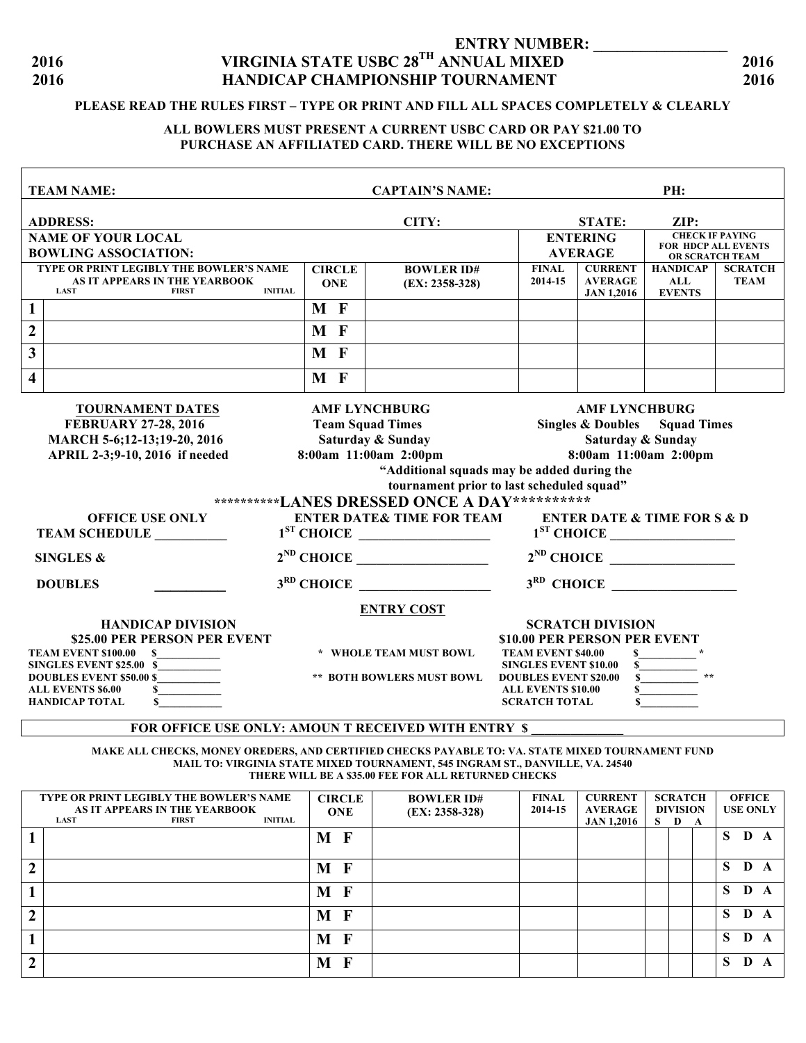### **ENTRY NUMBER: 2016 VIRGINIA STATE USBC 28TH ANNUAL MIXED 2016 2016 HANDICAP CHAMPIONSHIP TOURNAMENT 2016**

#### **PLEASE READ THE RULES FIRST – TYPE OR PRINT AND FILL ALL SPACES COMPLETELY & CLEARLY**

#### **ALL BOWLERS MUST PRESENT A CURRENT USBC CARD OR PAY \$21.00 TO PURCHASE AN AFFILIATED CARD. THERE WILL BE NO EXCEPTIONS**

|                                                                                                                                                                      | <b>TEAM NAME:</b><br><b>CAPTAIN'S NAME:</b><br>PH:                                                                        |       |                                  |                                           |                                                           |                                          |                                                       |                                                |                               |  |  |  |
|----------------------------------------------------------------------------------------------------------------------------------------------------------------------|---------------------------------------------------------------------------------------------------------------------------|-------|----------------------------------|-------------------------------------------|-----------------------------------------------------------|------------------------------------------|-------------------------------------------------------|------------------------------------------------|-------------------------------|--|--|--|
|                                                                                                                                                                      | <b>ADDRESS:</b>                                                                                                           | CITY: |                                  |                                           |                                                           |                                          | <b>STATE:</b><br>ZIP:                                 |                                                |                               |  |  |  |
| <b>NAME OF YOUR LOCAL</b>                                                                                                                                            |                                                                                                                           |       |                                  |                                           |                                                           |                                          | <b>ENTERING</b>                                       | <b>CHECK IF PAYING</b>                         |                               |  |  |  |
| <b>BOWLING ASSOCIATION:</b>                                                                                                                                          |                                                                                                                           |       |                                  |                                           |                                                           |                                          | <b>AVERAGE</b>                                        | <b>FOR HDCP ALL EVENTS</b><br>OR SCRATCH TEAM  |                               |  |  |  |
|                                                                                                                                                                      | TYPE OR PRINT LEGIBLY THE BOWLER'S NAME<br>AS IT APPEARS IN THE YEARBOOK<br><b>LAST</b><br><b>FIRST</b><br><b>INITIAL</b> |       | <b>CIRCLE</b><br><b>ONE</b>      | <b>BOWLER ID#</b><br>$(EX: 2358-328)$     | <b>FINAL</b><br>2014-15                                   |                                          | <b>CURRENT</b><br><b>AVERAGE</b><br><b>JAN 1,2016</b> | <b>HANDICAP</b><br><b>ALL</b><br><b>EVENTS</b> | <b>SCRATCH</b><br><b>TEAM</b> |  |  |  |
| $\mathbf{1}$                                                                                                                                                         |                                                                                                                           | M F   |                                  |                                           |                                                           |                                          |                                                       |                                                |                               |  |  |  |
| $\boldsymbol{2}$                                                                                                                                                     |                                                                                                                           | M F   |                                  |                                           |                                                           |                                          |                                                       |                                                |                               |  |  |  |
| $\mathbf{3}$                                                                                                                                                         |                                                                                                                           | M F   |                                  |                                           |                                                           |                                          |                                                       |                                                |                               |  |  |  |
| $\overline{\mathbf{4}}$                                                                                                                                              |                                                                                                                           | M F   |                                  |                                           |                                                           |                                          |                                                       |                                                |                               |  |  |  |
| <b>TOURNAMENT DATES</b><br><b>AMF LYNCHBURG</b><br><b>AMF LYNCHBURG</b>                                                                                              |                                                                                                                           |       |                                  |                                           |                                                           |                                          |                                                       |                                                |                               |  |  |  |
| <b>FEBRUARY 27-28, 2016</b>                                                                                                                                          |                                                                                                                           |       |                                  | <b>Team Squad Times</b>                   |                                                           | <b>Singles &amp; Doubles</b> Squad Times |                                                       |                                                |                               |  |  |  |
|                                                                                                                                                                      | MARCH 5-6;12-13;19-20, 2016                                                                                               |       |                                  | Saturday & Sunday                         |                                                           |                                          | Saturday & Sunday                                     |                                                |                               |  |  |  |
|                                                                                                                                                                      | APRIL 2-3;9-10, 2016 if needed                                                                                            |       |                                  | 8:00am 11:00am 2:00pm                     |                                                           |                                          |                                                       | 8:00am 11:00am 2:00pm                          |                               |  |  |  |
|                                                                                                                                                                      | "Additional squads may be added during the                                                                                |       |                                  |                                           |                                                           |                                          |                                                       |                                                |                               |  |  |  |
|                                                                                                                                                                      |                                                                                                                           |       |                                  | tournament prior to last scheduled squad" |                                                           |                                          |                                                       |                                                |                               |  |  |  |
|                                                                                                                                                                      | **********LANES DRESSED ONCE A DAY**********                                                                              |       |                                  |                                           |                                                           |                                          |                                                       |                                                |                               |  |  |  |
| <b>ENTER DATE&amp; TIME FOR TEAM</b><br><b>ENTER DATE &amp; TIME FOR S &amp; D</b><br><b>OFFICE USE ONLY</b><br>$1ST$ CHOICE<br>$1ST$ CHOICE<br><b>TEAM SCHEDULE</b> |                                                                                                                           |       |                                  |                                           |                                                           |                                          |                                                       |                                                |                               |  |  |  |
|                                                                                                                                                                      | <b>SINGLES &amp;</b>                                                                                                      |       |                                  |                                           |                                                           |                                          |                                                       | $2^{ND}$ CHOICE                                |                               |  |  |  |
|                                                                                                                                                                      | <b>DOUBLES</b>                                                                                                            |       |                                  | $3RD$ CHOICE                              |                                                           |                                          |                                                       | $3RD$ CHOICE                                   |                               |  |  |  |
|                                                                                                                                                                      |                                                                                                                           |       |                                  | <b>ENTRY COST</b>                         |                                                           |                                          |                                                       |                                                |                               |  |  |  |
|                                                                                                                                                                      | <b>HANDICAP DIVISION</b>                                                                                                  |       |                                  |                                           |                                                           |                                          | <b>SCRATCH DIVISION</b>                               |                                                |                               |  |  |  |
|                                                                                                                                                                      | \$25.00 PER PERSON PER EVENT                                                                                              |       |                                  |                                           |                                                           |                                          | \$10.00 PER PERSON PER EVENT                          |                                                |                               |  |  |  |
|                                                                                                                                                                      | <b>TEAM EVENT \$100.00</b><br><sup>S</sup><br>SINGLES EVENT \$25.00 \$                                                    |       |                                  | * WHOLE TEAM MUST BOWL                    | <b>TEAM EVENT \$40.00</b><br><b>SINGLES EVENT \$10.00</b> |                                          | \$<br>\$                                              |                                                |                               |  |  |  |
| <b>DOUBLES EVENT \$50.00 \$</b>                                                                                                                                      |                                                                                                                           |       | <b>** BOTH BOWLERS MUST BOWL</b> |                                           |                                                           |                                          | $\mathbf{s}$<br><b>DOUBLES EVENT \$20.00</b>          |                                                |                               |  |  |  |
|                                                                                                                                                                      | <b>ALL EVENTS \$6.00</b><br>\$                                                                                            |       |                                  |                                           | <b>ALL EVENTS \$10.00</b>                                 |                                          | S                                                     |                                                |                               |  |  |  |
|                                                                                                                                                                      | \$<br><b>HANDICAP TOTAL</b>                                                                                               |       |                                  |                                           | <b>SCRATCH TOTAL</b>                                      |                                          | \$                                                    |                                                |                               |  |  |  |
| FOR OFFICE USE ONLY: AMOUN T RECEIVED WITH ENTRY \$                                                                                                                  |                                                                                                                           |       |                                  |                                           |                                                           |                                          |                                                       |                                                |                               |  |  |  |

**MAKE ALL CHECKS, MONEY OREDERS, AND CERTIFIED CHECKS PAYABLE TO: VA. STATE MIXED TOURNAMENT FUND MAIL TO: VIRGINIA STATE MIXED TOURNAMENT, 545 INGRAM ST., DANVILLE, VA. 24540 THERE WILL BE A \$35.00 FEE FOR ALL RETURNED CHECKS**

|   | TYPE OR PRINT LEGIBLY THE BOWLER'S NAME<br>AS IT APPEARS IN THE YEARBOOK<br><b>INITIAL</b><br><b>LAST</b><br><b>FIRST</b> | <b>CIRCLE</b><br><b>ONE</b> | <b>BOWLER ID#</b><br>$(EX: 2358-328)$ | <b>FINAL</b><br>2014-15 | <b>CURRENT</b><br><b>AVERAGE</b><br><b>JAN 1,2016</b> | <b>SCRATCH</b><br><b>DIVISION</b><br>S D A |  | <b>OFFICE</b><br><b>USE ONLY</b> |     |
|---|---------------------------------------------------------------------------------------------------------------------------|-----------------------------|---------------------------------------|-------------------------|-------------------------------------------------------|--------------------------------------------|--|----------------------------------|-----|
|   |                                                                                                                           | M F                         |                                       |                         |                                                       |                                            |  | S.                               | D A |
| ◠ |                                                                                                                           | M F                         |                                       |                         |                                                       |                                            |  | S.                               | D A |
|   |                                                                                                                           | M F                         |                                       |                         |                                                       |                                            |  | S.                               | D   |
|   |                                                                                                                           | M F                         |                                       |                         |                                                       |                                            |  | S.                               | D   |
|   |                                                                                                                           | M F                         |                                       |                         |                                                       |                                            |  | S.                               | D A |
| ↑ |                                                                                                                           | M<br>$\mathbf{F}$           |                                       |                         |                                                       |                                            |  | S                                | D   |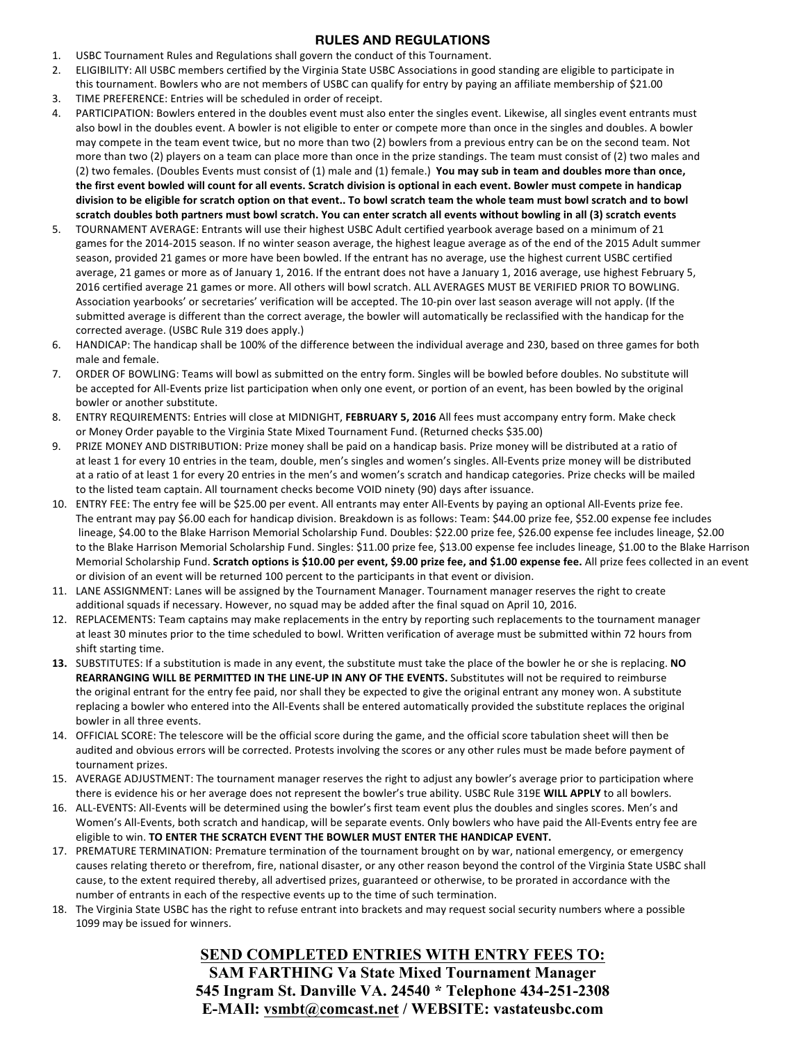#### **RULES AND REGULATIONS**

- 1. USBC Tournament Rules and Regulations shall govern the conduct of this Tournament.
- 2. ELIGIBILITY: All USBC members certified by the Virginia State USBC Associations in good standing are eligible to participate in
- this tournament. Bowlers who are not members of USBC can qualify for entry by paying an affiliate membership of \$21.00
- 3. TIME PREFERENCE: Entries will be scheduled in order of receipt.
- 4. PARTICIPATION: Bowlers entered in the doubles event must also enter the singles event. Likewise, all singles event entrants must also bowl in the doubles event. A bowler is not eligible to enter or compete more than once in the singles and doubles. A bowler may compete in the team event twice, but no more than two (2) bowlers from a previous entry can be on the second team. Not more than two (2) players on a team can place more than once in the prize standings. The team must consist of (2) two males and (2) two females. (Doubles Events must consist of (1) male and (1) female.) **You may sub in team and doubles more than once,** the first event bowled will count for all events. Scratch division is optional in each event. Bowler must compete in handicap division to be eligible for scratch option on that event.. To bowl scratch team the whole team must bowl scratch and to bowl scratch doubles both partners must bowl scratch. You can enter scratch all events without bowling in all (3) scratch events
- 5. TOURNAMENT AVERAGE: Entrants will use their highest USBC Adult certified yearbook average based on a minimum of 21 games for the 2014-2015 season. If no winter season average, the highest league average as of the end of the 2015 Adult summer season, provided 21 games or more have been bowled. If the entrant has no average, use the highest current USBC certified average, 21 games or more as of January 1, 2016. If the entrant does not have a January 1, 2016 average, use highest February 5, 2016 certified average 21 games or more. All others will bowl scratch. ALL AVERAGES MUST BE VERIFIED PRIOR TO BOWLING. Association yearbooks' or secretaries' verification will be accepted. The 10-pin over last season average will not apply. (If the submitted average is different than the correct average, the bowler will automatically be reclassified with the handicap for the corrected average. (USBC Rule 319 does apply.)
- 6. HANDICAP: The handicap shall be 100% of the difference between the individual average and 230, based on three games for both male and female.
- 7. ORDER OF BOWLING: Teams will bowl as submitted on the entry form. Singles will be bowled before doubles. No substitute will be accepted for All-Events prize list participation when only one event, or portion of an event, has been bowled by the original bowler or another substitute.
- 8. ENTRY REQUIREMENTS: Entries will close at MIDNIGHT, FEBRUARY 5, 2016 All fees must accompany entry form. Make check or Money Order payable to the Virginia State Mixed Tournament Fund. (Returned checks \$35.00)
- 9. PRIZE MONEY AND DISTRIBUTION: Prize money shall be paid on a handicap basis. Prize money will be distributed at a ratio of at least 1 for every 10 entries in the team, double, men's singles and women's singles. All-Events prize money will be distributed at a ratio of at least 1 for every 20 entries in the men's and women's scratch and handicap categories. Prize checks will be mailed to the listed team captain. All tournament checks become VOID ninety (90) days after issuance.
- 10. ENTRY FEE: The entry fee will be \$25.00 per event. All entrants may enter All-Events by paying an optional All-Events prize fee. The entrant may pay \$6.00 each for handicap division. Breakdown is as follows: Team: \$44.00 prize fee, \$52.00 expense fee includes lineage, \$4.00 to the Blake Harrison Memorial Scholarship Fund. Doubles: \$22.00 prize fee, \$26.00 expense fee includes lineage, \$2.00 to the Blake Harrison Memorial Scholarship Fund. Singles: \$11.00 prize fee, \$13.00 expense fee includes lineage, \$1.00 to the Blake Harrison Memorial Scholarship Fund. Scratch options is \$10.00 per event, \$9.00 prize fee, and \$1.00 expense fee. All prize fees collected in an event or division of an event will be returned 100 percent to the participants in that event or division.
- 11. LANE ASSIGNMENT: Lanes will be assigned by the Tournament Manager. Tournament manager reserves the right to create additional squads if necessary. However, no squad may be added after the final squad on April 10, 2016.
- 12. REPLACEMENTS: Team captains may make replacements in the entry by reporting such replacements to the tournament manager at least 30 minutes prior to the time scheduled to bowl. Written verification of average must be submitted within 72 hours from shift starting time.
- **13.** SUBSTITUTES: If a substitution is made in any event, the substitute must take the place of the bowler he or she is replacing. NO **REARRANGING WILL BE PERMITTED IN THE LINE-UP IN ANY OF THE EVENTS.** Substitutes will not be required to reimburse the original entrant for the entry fee paid, nor shall they be expected to give the original entrant any money won. A substitute replacing a bowler who entered into the All-Events shall be entered automatically provided the substitute replaces the original bowler in all three events.
- 14. OFFICIAL SCORE: The telescore will be the official score during the game, and the official score tabulation sheet will then be audited and obvious errors will be corrected. Protests involving the scores or any other rules must be made before payment of tournament prizes.
- 15. AVERAGE ADJUSTMENT: The tournament manager reserves the right to adjust any bowler's average prior to participation where there is evidence his or her average does not represent the bowler's true ability. USBC Rule 319E WILL APPLY to all bowlers.
- 16. ALL-EVENTS: All-Events will be determined using the bowler's first team event plus the doubles and singles scores. Men's and Women's All-Events, both scratch and handicap, will be separate events. Only bowlers who have paid the All-Events entry fee are eligible to win. TO ENTER THE SCRATCH EVENT THE BOWLER MUST ENTER THE HANDICAP EVENT.
- 17. PREMATURE TERMINATION: Premature termination of the tournament brought on by war, national emergency, or emergency causes relating thereto or therefrom, fire, national disaster, or any other reason beyond the control of the Virginia State USBC shall cause, to the extent required thereby, all advertised prizes, guaranteed or otherwise, to be prorated in accordance with the number of entrants in each of the respective events up to the time of such termination.
- 18. The Virginia State USBC has the right to refuse entrant into brackets and may request social security numbers where a possible 1099 may be issued for winners.

**SEND COMPLETED ENTRIES WITH ENTRY FEES TO: SAM FARTHING Va State Mixed Tournament Manager 545 Ingram St. Danville VA. 24540 \* Telephone 434-251-2308 E-MAIl: vsmbt@comcast.net / WEBSITE: vastateusbc.com**